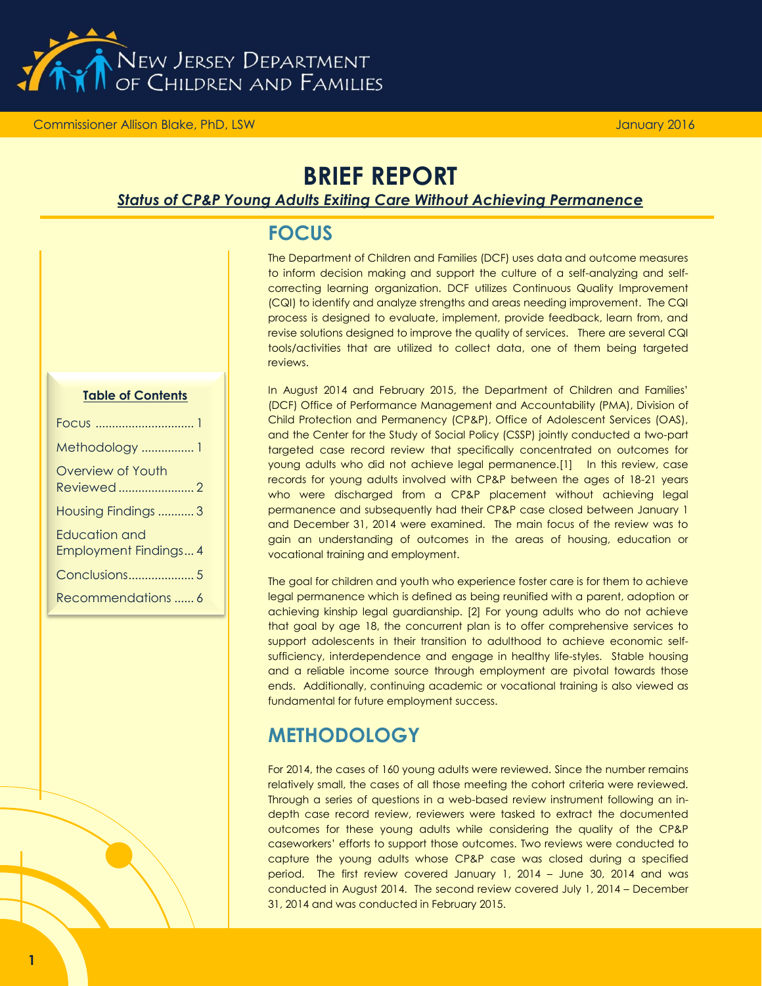

Commissioner Allison Blake, PhD, LSW

# **BRIEF REPORT**

### *Status of CP&P Young Adults Exiting Care Without Achieving Permanence*

|--|

The Department of Children and Families (DCF) uses data and outcome measures to inform decision making and support the culture of a self-analyzing and selfcorrecting learning organization. DCF utilizes Continuous Quality Improvement (CQI) to identify and analyze strengths and areas needing improvement. The CQI process is designed to evaluate, implement, provide feedback, learn from, and revise solutions designed to improve the quality of services. There are several CQI tools/activities that are utilized to collect data, one of them being targeted reviews.

In August 2014 and February 2015, the Department of Children and Families' (DCF) Office of Performance Management and Accountability (PMA), Division of Child Protection and Permanency (CP&P), Office of Adolescent Services (OAS), and the Center for the Study of Social Policy (CSSP) jointly conducted a two-part targeted case record review that specifically concentrated on outcomes for young adults who did not achieve legal permanence.[1] In this review, case records for young adults involved with CP&P between the ages of 18-21 years who were discharged from a CP&P placement without achieving legal permanence and subsequently had their CP&P case closed between January 1 and December 31, 2014 were examined. The main focus of the review was to gain an understanding of outcomes in the areas of housing, education or vocational training and employment.

The goal for children and youth who experience foster care is for them to achieve legal permanence which is defined as being reunified with a parent, adoption or achieving kinship legal guardianship. [2] For young adults who do not achieve that goal by age 18, the concurrent plan is to offer comprehensive services to support adolescents in their transition to adulthood to achieve economic selfsufficiency, interdependence and engage in healthy life-styles. Stable housing and a reliable income source through employment are pivotal towards those ends. Additionally, continuing academic or vocational training is also viewed as fundamental for future employment success.

## **METHODOLOGY**

For 2014, the cases of 160 young adults were reviewed. Since the number remains relatively small, the cases of all those meeting the cohort criteria were reviewed. Through a series of questions in a web-based review instrument following an indepth case record review, reviewers were tasked to extract the documented outcomes for these young adults while considering the quality of the CP&P caseworkers' efforts to support those outcomes. Two reviews were conducted to capture the young adults whose CP&P case was closed during a specified period. The first review covered January 1, 2014 – June 30, 2014 and was conducted in August 2014. The second review covered July 1, 2014 – December 31, 2014 and was conducted in February 2015.

#### **Table of Contents**

| Methodology  1        |
|-----------------------|
| Overview of Youth     |
| Reviewed2             |
| Housing Findings 3    |
| Education and         |
| Employment Findings 4 |
|                       |
| Recommendations  6    |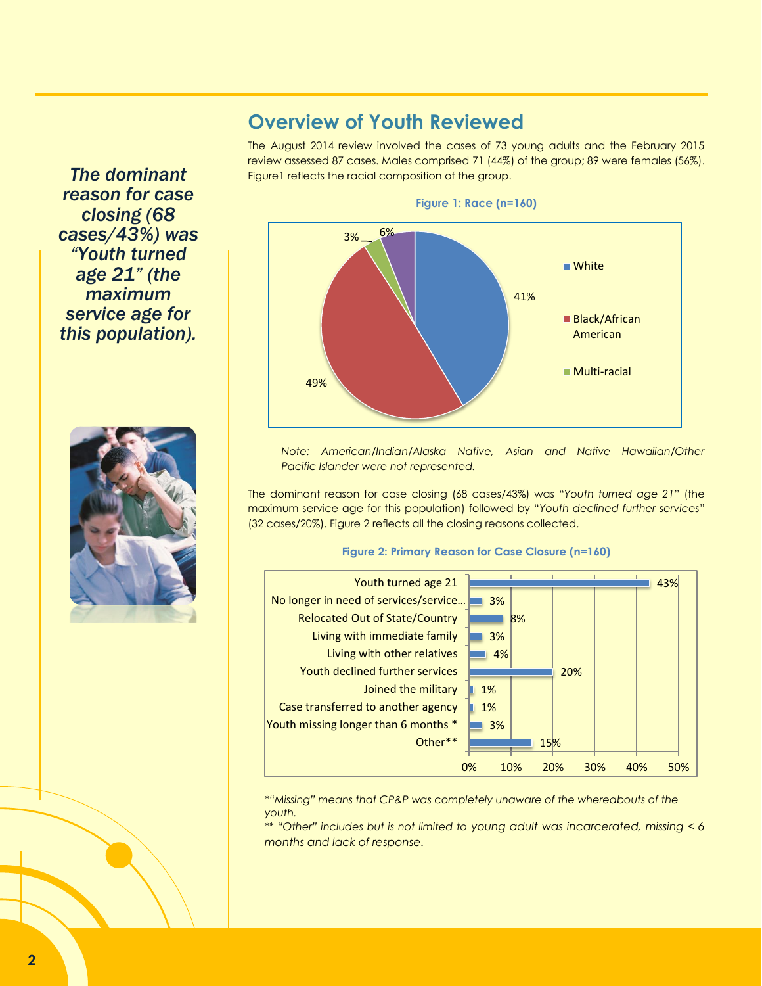### **Overview of Youth Reviewed**

The August 2014 review involved the cases of 73 young adults and the February 2015 review assessed 87 cases. Males comprised 71 (44%) of the group; 89 were females (56%). Figure1 reflects the racial composition of the group.



**Figure 1: Race (n=160)**

*Note: American/Indian/Alaska Native, Asian and Native Hawaiian/Other Pacific Islander were not represented.* 

The dominant reason for case closing (68 cases/43%) was "*Youth turned age 21*" (the maximum service age for this population) followed by "*Youth declined further services*" (32 cases/20%). Figure 2 reflects all the closing reasons collected.

#### **Figure 2: Primary Reason for Case Closure (n=160)**



*\*"Missing" means that CP&P was completely unaware of the whereabouts of the youth.*

*\*\* "Other" includes but is not limited to young adult was incarcerated, missing < 6 months and lack of response.*

*The dominant reason for case closing (68 cases/43%) was "Youth turned age 21" (the maximum service age for this population).*

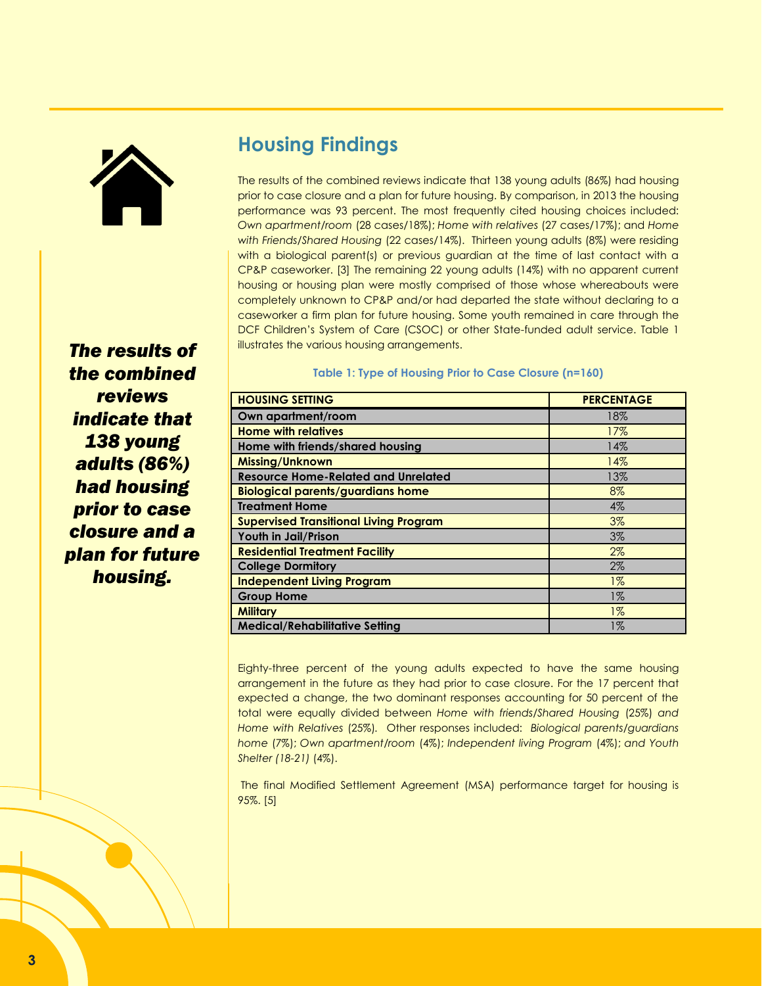

*The results of the combined reviews indicate that 138 young adults (86%) had housing prior to case closure and a plan for future housing.*

# **Housing Findings**

The results of the combined reviews indicate that 138 young adults (86%) had housing prior to case closure and a plan for future housing. By comparison, in 2013 the housing performance was 93 percent. The most frequently cited housing choices included: *Own apartment/room* (28 cases/18%); *Home with relatives* (27 cases/17%); and *Home with Friends/Shared Housing* (22 cases/14%). Thirteen young adults (8%) were residing with a biological parent(s) or previous guardian at the time of last contact with a CP&P caseworker. [3] The remaining 22 young adults (14%) with no apparent current housing or housing plan were mostly comprised of those whose whereabouts were completely unknown to CP&P and/or had departed the state without declaring to a caseworker a firm plan for future housing. Some youth remained in care through the DCF Children's System of Care (CSOC) or other State-funded adult service. Table 1 illustrates the various housing arrangements.

#### **Table 1: Type of Housing Prior to Case Closure (n=160)**

| <b>HOUSING SETTING</b>                        | <b>PERCENTAGE</b> |
|-----------------------------------------------|-------------------|
| Own apartment/room                            | 18%               |
| <b>Home with relatives</b>                    | 17%               |
| Home with friends/shared housing              | 14%               |
| Missing/Unknown                               | 14%               |
| <b>Resource Home-Related and Unrelated</b>    | 13%               |
| <b>Biological parents/guardians home</b>      | 8%                |
| <b>Treatment Home</b>                         | 4%                |
| <b>Supervised Transitional Living Program</b> | 3%                |
| Youth in Jail/Prison                          | 3%                |
| <b>Residential Treatment Facility</b>         | 2%                |
| <b>College Dormitory</b>                      | $2\%$             |
| <b>Independent Living Program</b>             | $1\%$             |
| <b>Group Home</b>                             | $1\%$             |
| <b>Military</b>                               | $1\%$             |
| <b>Medical/Rehabilitative Setting</b>         | 1%                |

Eighty-three percent of the young adults expected to have the same housing arrangement in the future as they had prior to case closure. For the 17 percent that expected a change, the two dominant responses accounting for 50 percent of the total were equally divided between *Home with friends/Shared Housing* (25%) *and Home with Relatives* (25%)*.* Other responses included: *Biological parents/guardians home* (7%); *Own apartment/room* (4%); *Independent living Program* (4%); *and Youth Shelter (18-21)* (4%).

The final Modified Settlement Agreement (MSA) performance target for housing is 95%. [5]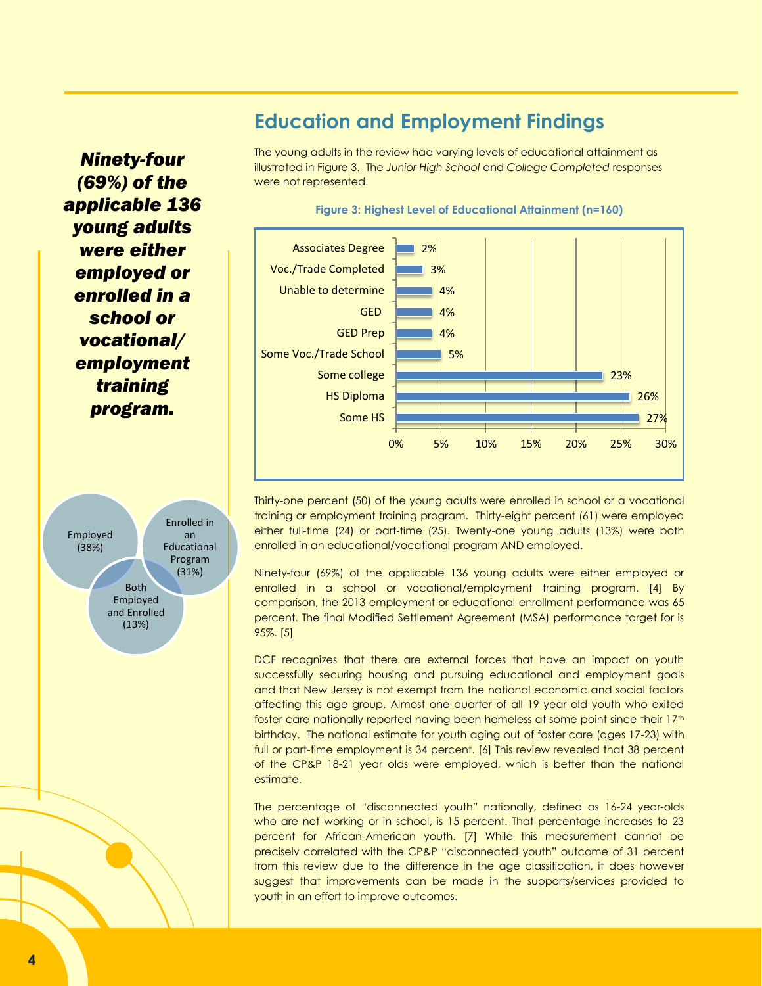## *Ninety-four (69%) of the applicable 136 young adults were either employed or enrolled in a school or vocational/ employment training program.*



## **Education and Employment Findings**

The young adults in the review had varying levels of educational attainment as illustrated in Figure 3. The *Junior High School* and *College Completed* responses were not represented.





Thirty-one percent (50) of the young adults were enrolled in school or a vocational training or employment training program. Thirty-eight percent (61) were employed either full-time (24) or part-time (25). Twenty-one young adults (13%) were both enrolled in an educational/vocational program AND employed.

Ninety-four (69%) of the applicable 136 young adults were either employed or enrolled in a school or vocational/employment training program. [4] By comparison, the 2013 employment or educational enrollment performance was 65 percent. The final Modified Settlement Agreement (MSA) performance target for is 95%. [5]

DCF recognizes that there are external forces that have an impact on youth successfully securing housing and pursuing educational and employment goals and that New Jersey is not exempt from the national economic and social factors affecting this age group. Almost one quarter of all 19 year old youth who exited foster care nationally reported having been homeless at some point since their 17<sup>th</sup> birthday. The national estimate for youth aging out of foster care (ages 17-23) with full or part-time employment is 34 percent. [6] This review revealed that 38 percent of the CP&P 18-21 year olds were employed, which is better than the national estimate.

The percentage of "disconnected youth" nationally, defined as 16-24 year-olds who are not working or in school, is 15 percent. That percentage increases to 23 percent for African-American youth. [7] While this measurement cannot be precisely correlated with the CP&P "disconnected youth" outcome of 31 percent from this review due to the difference in the age classification, it does however suggest that improvements can be made in the supports/services provided to youth in an effort to improve outcomes.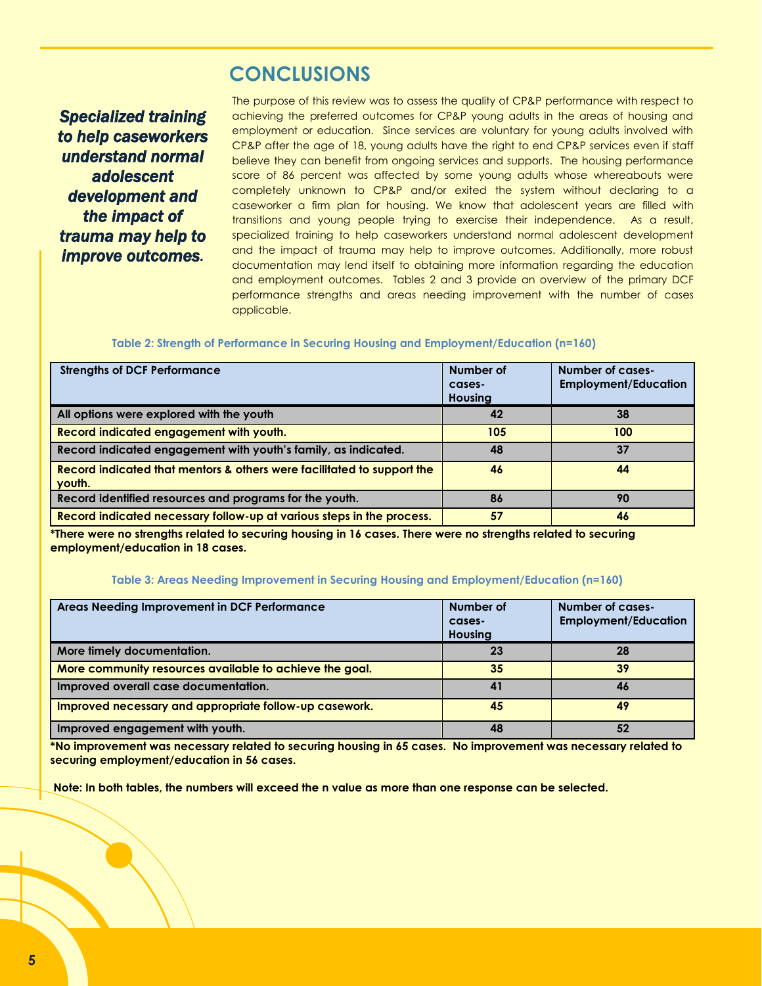### **CONCLUSIONS**

*Specialized training to help caseworkers understand normal adolescent development and the impact of trauma may help to improve outcomes.*

The purpose of this review was to assess the quality of CP&P performance with respect to achieving the preferred outcomes for CP&P young adults in the areas of housing and employment or education. Since services are voluntary for young adults involved with CP&P after the age of 18, young adults have the right to end CP&P services even if staff believe they can benefit from ongoing services and supports. The housing performance score of 86 percent was affected by some young adults whose whereabouts were completely unknown to CP&P and/or exited the system without declaring to a caseworker a firm plan for housing. We know that adolescent years are filled with transitions and young people trying to exercise their independence. As a result, specialized training to help caseworkers understand normal adolescent development and the impact of trauma may help to improve outcomes. Additionally, more robust documentation may lend itself to obtaining more information regarding the education and employment outcomes. Tables 2 and 3 provide an overview of the primary DCF performance strengths and areas needing improvement with the number of cases applicable.

#### **Table 2: Strength of Performance in Securing Housing and Employment/Education (n=160)**

| <b>Strengths of DCF Performance</b>                                              | Number of<br>cases-<br><b>Housing</b> | <b>Number of cases-</b><br><b>Employment/Education</b> |
|----------------------------------------------------------------------------------|---------------------------------------|--------------------------------------------------------|
| All options were explored with the youth                                         | 42                                    | 38                                                     |
| Record indicated engagement with youth.                                          | 105                                   | 100                                                    |
| Record indicated engagement with youth's family, as indicated.                   | 48                                    | 37                                                     |
| Record indicated that mentors & others were facilitated to support the<br>youth. | 46                                    | 44                                                     |
| Record identified resources and programs for the youth.                          | 86                                    | 90                                                     |
| Record indicated necessary follow-up at various steps in the process.            | 57                                    | 46                                                     |

**\*There were no strengths related to securing housing in 16 cases. There were no strengths related to securing employment/education in 18 cases.** 

#### **Table 3: Areas Needing Improvement in Securing Housing and Employment/Education (n=160)**

| Areas Needing Improvement in DCF Performance            | Number of<br>cases-<br><b>Housing</b> | Number of cases-<br><b>Employment/Education</b> |
|---------------------------------------------------------|---------------------------------------|-------------------------------------------------|
| More timely documentation.                              | 23                                    | 28                                              |
| More community resources available to achieve the goal. | 35                                    | 39                                              |
| Improved overall case documentation.                    | 41                                    | 46                                              |
| Improved necessary and appropriate follow-up casework.  | 45                                    | 49                                              |
| Improved engagement with youth.                         | 48                                    | 52                                              |

**\*No improvement was necessary related to securing housing in 65 cases. No improvement was necessary related to securing employment/education in 56 cases.** 

 **Note: In both tables, the numbers will exceed the n value as more than one response can be selected.**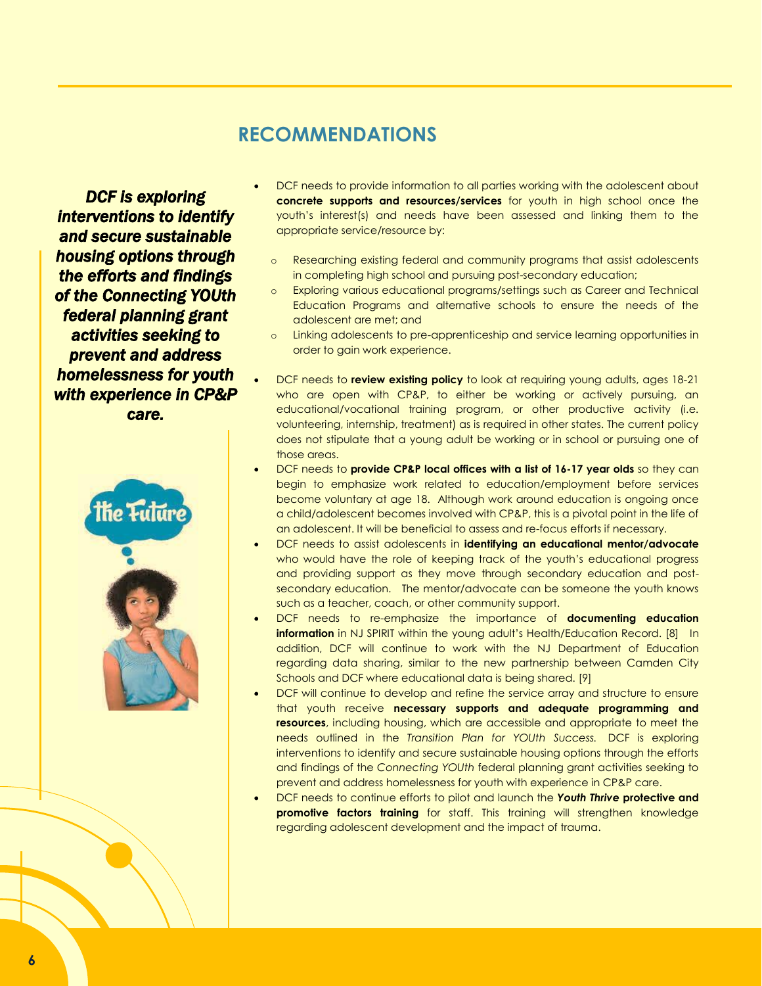### **RECOMMENDATIONS**

*DCF is exploring interventions to identify and secure sustainable housing options through the efforts and findings of the Connecting YOUth federal planning grant activities seeking to prevent and address homelessness for youth with experience in CP&P care.* 



- DCF needs to provide information to all parties working with the adolescent about **concrete supports and resources/services** for youth in high school once the youth's interest(s) and needs have been assessed and linking them to the appropriate service/resource by:
	- o Researching existing federal and community programs that assist adolescents in completing high school and pursuing post-secondary education;
	- o Exploring various educational programs/settings such as Career and Technical Education Programs and alternative schools to ensure the needs of the adolescent are met; and
	- o Linking adolescents to pre-apprenticeship and service learning opportunities in order to gain work experience.
- DCF needs to **review existing policy** to look at requiring young adults, ages 18-21 who are open with CP&P, to either be working or actively pursuing, an educational/vocational training program, or other productive activity (i.e. volunteering, internship, treatment) as is required in other states. The current policy does not stipulate that a young adult be working or in school or pursuing one of those areas.
- DCF needs to **provide CP&P local offices with a list of 16-17 year olds** so they can begin to emphasize work related to education/employment before services become voluntary at age 18. Although work around education is ongoing once a child/adolescent becomes involved with CP&P, this is a pivotal point in the life of an adolescent. It will be beneficial to assess and re-focus efforts if necessary.
- DCF needs to assist adolescents in **identifying an educational mentor/advocate** who would have the role of keeping track of the youth's educational progress and providing support as they move through secondary education and postsecondary education. The mentor/advocate can be someone the youth knows such as a teacher, coach, or other community support.
- DCF needs to re-emphasize the importance of **documenting education information** in NJ SPIRIT within the young adult's Health/Education Record. [8] In addition, DCF will continue to work with the NJ Department of Education regarding data sharing, similar to the new partnership between Camden City Schools and DCF where educational data is being shared. [9]
- DCF will continue to develop and refine the service array and structure to ensure that youth receive **necessary supports and adequate programming and resources**, including housing, which are accessible and appropriate to meet the needs outlined in the *Transition Plan for YOUth Success.* DCF is exploring interventions to identify and secure sustainable housing options through the efforts and findings of the *Connecting YOUth* federal planning grant activities seeking to prevent and address homelessness for youth with experience in CP&P care.
- DCF needs to continue efforts to pilot and launch the *Youth Thrive* **protective and promotive factors training** for staff. This training will strengthen knowledge regarding adolescent development and the impact of trauma.